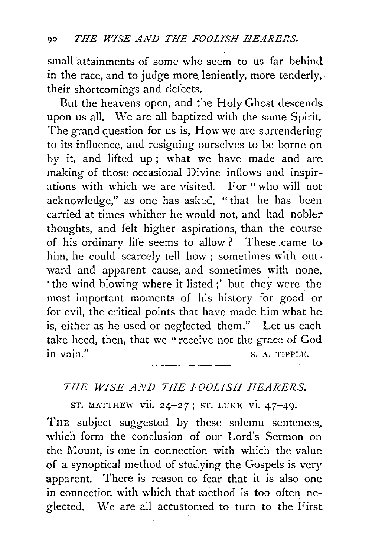small attainments of some who seem to us far behind in the race, and to judge more leniently, more tenderly, their shortcomings and defects.

But the heavens open, and the Holy Ghost descends. upon us all. We are all baptized with the same Spirit. The grand question for us is, How we are surrendering to its influence, and resigning ourselves to be borne on by it, and lifted up ; what we have made and are making of those occasional Divine inflows and inspirations with which we are visited. For "who will not acknowledge," as one has asked, "that he has been carried at times whither he would not, and had nobler thoughts, and felt higher aspirations, than the course of his ordinary life seems to allow ? These came to him, he could scarcely tell how ; sometimes with outward and apparent cause, and sometimes with none. 'the wind blowing where it listed;' but they were the most important moments of his history for good or for evil, the critical points that have made him what he is, either as he used or neglected them." Let us each take heed, then, that we "receive not the grace of  $God$ .<br>in vain."

## *THE WISE AND THE FOOLISH HEARERS.*

ST. MATTHEW vii. 24-27; ST. LUKE vi. 47-49.

THE subject suggested by these solemn sentences, which form the conclusion of our Lord's Sermon on the Mount, is one in connection with which the value of a synoptical method of studying the Gospels is very apparent. There is reason to fear that it is also one in connection with which that method is too often neglected. We are all accustomed to turn to the First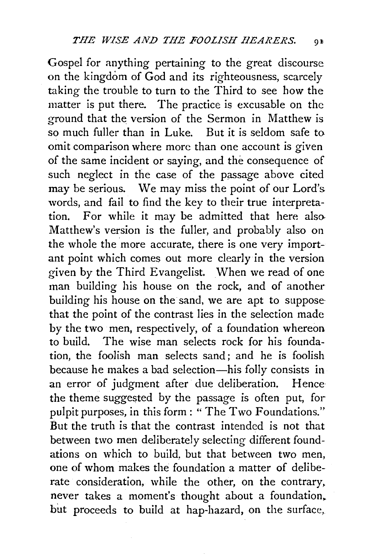Gospel for anything pertaining to the great discourse on the kingdom of God and its righteousness, scarcely taking the trouble to turn to the Third to see how the matter is put there. The practice is excusable on the ground that the version of the Sermon in Matthew is so much fuller than in Luke. But it is seldom safe to omit comparison where more than one account is given of the same incident or saying, and the consequence of such neglect in the case of the passage above cited may be serious. We may miss the point of our Lord's words, and fail to find the key to their true interpretation. For while it may be admitted that here also Matthew's version is the fuller, and probably also on the whole the more accurate, there is one very important point which comes out more clearly in the version given by the Third Evangelist. When we read of one man building his house on the rock, and of another building his house on the sand, we are apt to suppose· that the point of the contrast lies in the selection made by the two men, respectively, of a foundation whereon to build. The wise man selects rock for his foundation, the foolish man selects sand; and he is foolish because he makes a bad selection-his folly consists in an error of judgment after due deliberation. Hence the theme suggested by the passage is often put, for pulpit purposes, in this form: " The Two Foundations." But the truth is that the contrast intended is not that between two men deliberately selecting different foundations on which to build, but that between two men, one of whom makes the foundation a matter of deliberate consideration, while the other, on the contrary, never takes a moment's thought about a foundation, but proceeds to build at hap-hazard, on the surface,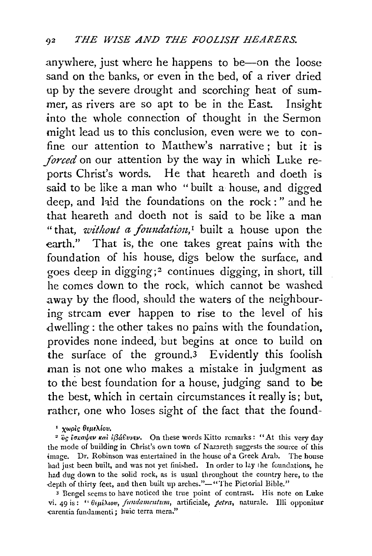anywhere, just where he happens to be--on the loose sand on the banks, or even in the bed, of a river dried up by the severe drought and scorching heat of summer, as rivers are so apt to be in the East. Insight into the whole connection of thought in the Sermon might lead us to this conclusion, even were we to confine our attention to Matthew's narrative; but it is *forced* on our attention by the way in which Luke reports Christ's words. He that heareth and doeth is said to be like a man who "built a house, and digged deep, and hid the foundations on the rock : " and he that heareth and doeth not is said to be like a man "that, *without a foundation*,<sup>*1*</sup> built a house upon the earth." That is, the one takes great pains with the foundation of his house, digs below the surface, and goes deep in digging; 2 continues digging, in short, till he comes down to the rock, which cannot be washed away by the flood, should the waters of the neighbouring stream ever happen to rise to the level of his dwelling: the other takes no pains with the foundation, provides none indeed, but begins at once to build on the surface of the ground.<sup>3</sup> Evidently this foolish man is not one who makes a mistake in judgment as to the best foundation for a house, judging sand to be the best, which in certain circumstances it really is; but, rather, one who loses sight of the fact that the found-

<sup>2</sup> oς *ίσκαψεν και <i>iβά*ευνεν. On these words Kitto remarks: "At this very day the mode of building in Christ's own town of Nazareth suggests the source of this image. Dr. Robinson was entertained in the house of a Greek Arab. The house had just been built, and was not yet finished. In order to lay the foundations, he had dug down to the solid rock, as is usual throughout the country here, to the depth of thirty feet, and then built up arches."-"The Pictorial Bible."

<sup>3</sup> Bengel seems to have noticed the true point of contrast. His note on Luke vi. 49 is: " *6•piXwv, jtmdameutum,* artificiale, *petra,* naturale. llli opponitur carentia fundamenti; huic terra mera."

<sup>&</sup>lt;sup>1</sup> χωρίς θεμελίου.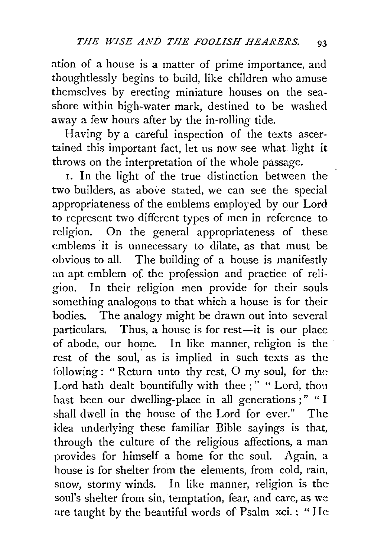ation of a house is a matter of prime importance, and thoughtlessly begins to build, like children who amuse themselves by erecting miniature houses on the seashore within high-water mark, destined to be washed away a few hours after by the in-rolling tide.

Having by a careful inspection of the texts ascertained this important fact, let us now see what light it throws on the interpretation of the whole passage.

1. In the light of the true distinction between the two builders, as above stated, we can see the special appropriateness of the emblems employed by our Lord to represent two different types of men in reference to religion. On the general appropriateness of these emblems it is unnecessary to dilate, as that must be obvious to all. The building of a house is manifestly an apt emblem of the profession and practice of religion. In their religion men provide for their souls something analogous to that which a house is for their bodies. The analogy might be drawn out into several particulars. Thus, a house is for rest-it is our place of abode, our home. In like manner, religion is the rest of the soul, as is implied in such texts as the following: "Return unto thy rest, 0 my soul, for the Lord hath dealt bountifully with thee ;" " Lord, thou hast been our dwelling-place in all generations ;" "I shall dwell in the house of the Lord for ever." The idea underlying these familiar Bible sayings is that, through the culture of the religious affections, a man provides for himself a home for the soul. Again, a house is for shelter from the elements, from cold, rain, snow, stormy winds. In like manner, religion is the soul's shelter from sin, temptation, fear, and care, as we are taught by the beautiful words of Psalm xci. : "He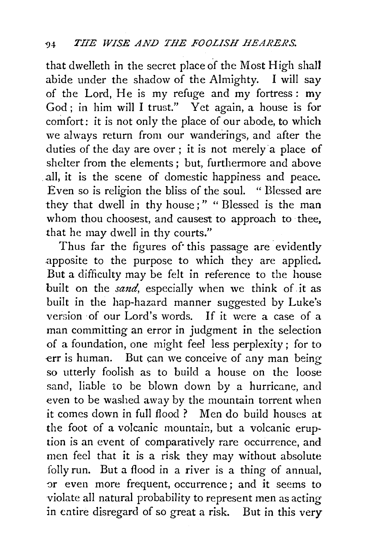that dwelleth in the secret place of the Most High shall abide under the shadow of the Almighty. I will say of the Lord, He is my refuge and my fortress: my God ; in him will I trust." Yet again, a house is for comfort: it is not only the place of our abode, to which we always return from our wanderings, and after the duties of the day are over ; it is not merely a place of shelter from the elements ; but, furthermore and above all, it is the scene of domestic happiness and peace. Even so is religion the bliss of the soul. " Blessed are they that dwell in thy house;" "Blessed is the man whom thou choosest, and causest to approach to thee, that he may dwell in thy courts."

Thus far the figures of this passage are evidently apposite to the purpose to which they are applied. But a difficulty may be felt in reference to the house built on the *sand*, especially when we think of it as built in the hap-hazard manner suggested by Luke's version of our Lord's words. If it were a case of a man committing an error in judgment in the selection of a foundation, one might feel less perplexity ; for to err is human. But can we conceive of any man being so utterly foolish as to build a house on the loose sand, liable to be blown down by a hurricane, and even to be washed away by the mountain torrent when it comes down in full flood ? Men do build houses at the foot of a volcanic mountain, but a volcanic eruption is an event of comparatively rare occurrence, and men feel that it is a risk they may without absolute folly run. But a flood in a river is a thing of annual, or even more frequent, occurrence; and it seems to violate all natural probability to represent men as acting in entire disregard of so great a *risk.* But in this very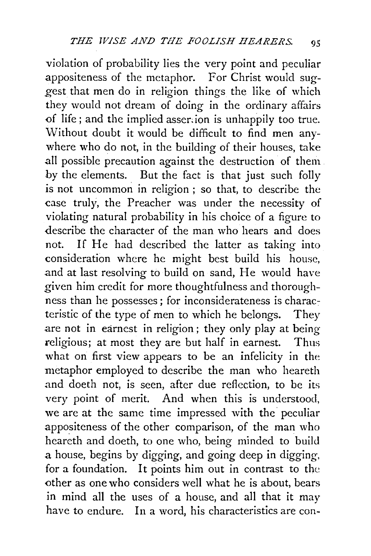violation of probability lies the very point and peculiar appositeness of the metaphor. For Christ would suggest that men do in religion things the like of which they would not dream of doing in the ordinary affairs of life; and the implied asser:ion is unhappily too true. 'Without doubt it would be difficult to find men anywhere who do not, in the building of their houses, take all possible precaution against the destruction of them by the elements. But the fact is that just such folly is not uncommon in religion ; so that, to describe the case truly, the Preacher was under the necessity of violating natural probability in his choice of a figure to describe the character of the man who hears and does not. If He had described the latter as taking into consideration where he might best build his house, and at last resolving to build on sand, He would have given him credit for more thoughtfulness and thoroughness than he possesses ; for inconsiderateness is characteristic of the type of men to which he belongs. They are not in earnest in religion ; they only play at being religious; at most they are but half in earnest. Thus what on first view appears to be an infelicity in the metaphor employed to describe the man who heareth and doeth not, is seen, after due reflection, to be its very point of merit. And when this is understood, we are at the same time impressed with the peculiar appositeness of the other comparison, of the man who heareth and doeth, to one who, being minded to build a house, begins by digging, and going deep in digging, for a foundation. It points him out in contrast to the other as one who considers well what he is about, bears in mind all the uses of a house, and all that it may have to endure. In a word, his characteristics are con-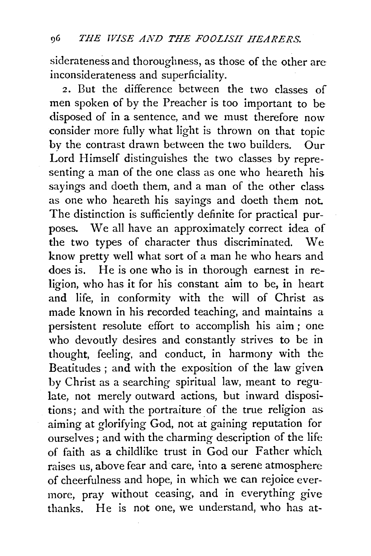siderateness and thoroughness, as those of the other are inconsiderateness and superficiality.

2. But the difference between the two classes of men spoken of by the Preacher is too important to be disposed of in a sentence, and we must therefore now consider more fully what light is thrown on that topic by the contrast drawn between the two builders. Our Lord Himself distinguishes the two classes by representing a man of the one class as one who heareth his sayings and doeth them, and a man of the other class as one who heareth his sayings and doeth them not The distinction is sufficiently definite for practical purposes. We all have an approximately correct idea of the two types of character thus discriminated. We know pretty well what sort of a man he who hears and does is. He is one who is in thorough earnest in religion, who has it for his constant aim to be, in heart and life, in conformity with the will of Christ as made known in his recorded teaching, and maintains a persistent resolute effort to accomplish his aim; one who devoutly desires and constantly strives to be in thought, feeling, and conduct, in harmony with the Beatitudes ; and with the exposition of the law given by Christ as a searching spiritual law, meant to regulate, not merely outward actions, but inward dispositions; and with the portraiture of the true religion as. aiming at glorifying God, not at gaining reputation for ourselves; and with the charming description of the life of faith as a childlike trust in God our Father which raises us, above fear and care, 'nto a serene atmosphere of cheerfulness and hope, in which we can rejoice evermore, pray without ceasing, and in everything give thanks. He is not one, we understand, who has at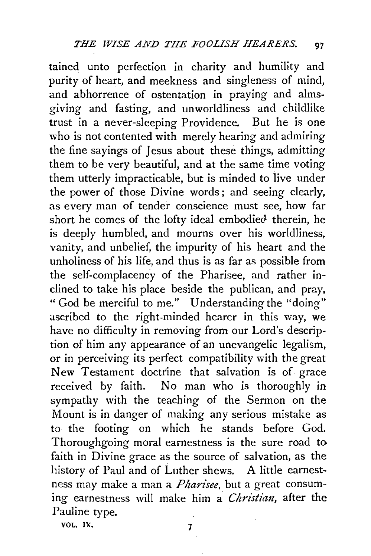tained unto perfection in charity and humility and purity of heart, and meekness and singleness of mind, and abhorrence of ostentation in praying and almsgiving and fasting, and unworldliness and childlike trust in a never-sleeping Providence. But he is one who is not contented with merely hearing and admiring the fine sayings of Jesus about these things, admitting them to be very beautiful, and at the same time voting them utterly impracticable, but is minded to live under the power of those Divine words; and seeing clearly, as every man of tender conscience must see, how far short he comes of the lofty ideal embodied therein, he is deeply humbled, and mourns over his worldliness, vanity, and unbelief, the impurity of his heart and the unholiness of his life, and thus is as far as possible from the self-complacency of the Pharisee, and rather inclined to take his place beside the publican, and pray, " God be merciful to me." Understanding the "doing" ascribed to the right-minded hearer in this way, we have no difficulty in removing from our Lord's description of him any appearance of an unevangelic legalism, or in perceiving its perfect compatibility with the great New Testament doctrine that salvation is of grace received by faith. No man who is thoroughly in sympathy with the teaching of the Sermon on the Mount is in danger of making any serious mistake as to the footing on which he stands before God. Thoroughgoing moral earnestness is the sure road to faith in Divine grace as the source of salvation, as the history of Paul and of Luther shews. A little earnestness may make a man a *Pharisee,* but a great consuming earnestness will make him a *Christian*, after the Pauline type.

vol. 1x. 7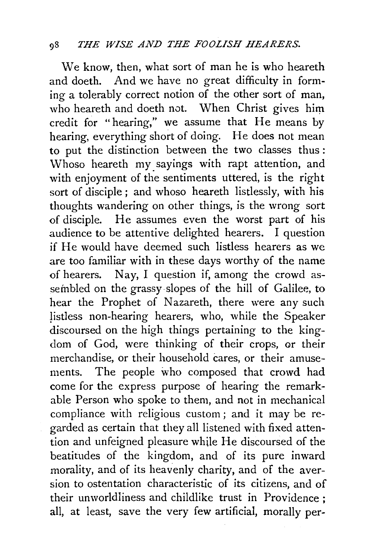We know, then, what sort of man he is who heareth and doeth. And we have no great difficulty in forming a tolerably correct notion of the other sort of man, who heareth and doeth not. When Christ gives him credit for "hearing," we assume that He means by hearing, everything short of doing. He does not mean to put the distinction between the two classes thus : Whoso heareth my sayings with rapt attention, and with enjoyment of the sentiments uttered, is the right sort of disciple ; and whoso heareth listlessly, with his thoughts wandering on other things, is the wrong sort of disciple. He assumes even the worst part of his audience to be attentive delighted hearers. I question if He would have deemed such listless hearers as we are too familiar with in these days worthy of the name of hearers. Nay, I question if, among the crowd assembled on the grassy slopes of the hill of Galilee, to hear the Prophet of Nazareth, there were any such listless non-hearing hearers, who, while the Speaker discoursed on the high things pertaining to the kingdom of God, were thinking of their crops, or their merchandise, or their household cares, or their amusements. The people who composed that crowd had come for the express purpose of hearing the remarkable Person who spoke to them, and not in mechanical compliance with religious custom ; and it may be regarded as certain that they all listened with fixed attention and unfeigned pleasure while He discoursed of the beatitudes of the kingdom, and of its pure inward morality, and of its heavenly charity, and of the aversion to ostentation characteristic of its citizens, and of their unworldliness and childlike trust in Providence ; all, at least, save the very few artificial, morally per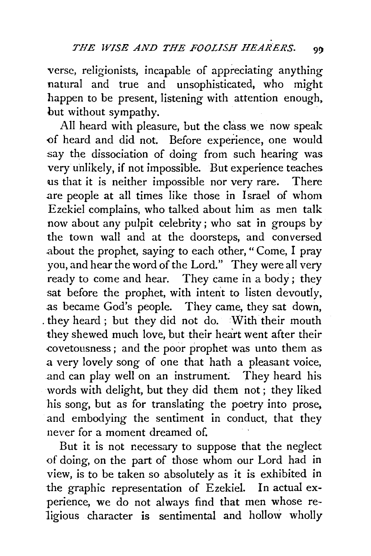verse, religionists, incapable of appreciating anything natural and true and unsophisticated, who might happen to be present, listening with attention enough, but without sympathy.

All heard with pleasure, but the class we now speak of heard and did not. Before experience, one would say the dissociation of doing from such hearing was very unlikely, if not impossible. But experience teaches us that it is neither impossible nor very rare. There are people at all times like those in Israel of whom Ezekiel complains, who talked about him as men talk now about any pulpit celebrity; who sat in groups by the town wall and at the doorsteps, and conversed about the prophet, saying to each other, "Come, I pray you, and hear the word of the Lord." They were all very ready to come and hear. They came in a body; they sat before the prophet, with intent to listen devoutly, as became God's people. They came, they sat down, . they heard ; but they did not do. With their mouth they shewed much love, but their heart went after their £ovetousness ; and the poor prophet was unto them as a very lovely song of one that hath a pleasant voice, .and can play well on an instrument. They heard his words with delight, but they did them not ; they liked his song, but as for translating the poetry into prose, and embodying the sentiment in conduct, that they never for a moment dreamed of.

But it is not necessary to suppose that the neglect of doing, on the part of those whom our Lord had in view, is to be taken so absolutely as it is exhibited in the graphic representation of Ezekiel. In actual experience, we do not always find that men whose religious character is sentimental and hollow wholly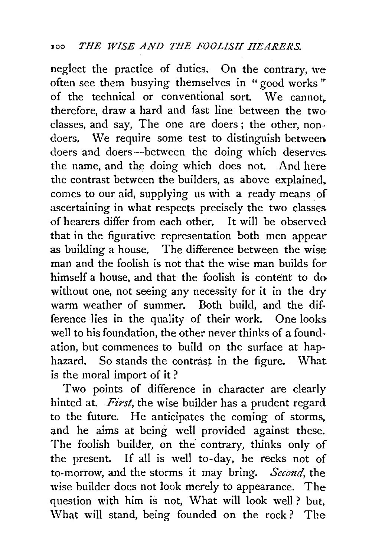neglect the practice of duties. On the contrary, we often see them busying themselves in "good works" of the technical or conventional sort. We cannot. therefore, draw a hard and fast line between the two classes, and say, The one are doers ; the other, nondoers, We require some test to distinguish between doers and doers-between the doing which deserves. the name, and the doing which does not. And here the contrast between the builders, as above explained. comes to our aid, supplying us with a ready means of ascertaining in what respects precisely the two classes. of hearers differ from each other. It will be observed that in the figurative representation both men appear as building a house. The difference between the wise man and the foolish is not that the wise man builds for himself a house, and that the foolish is content to do without one, not seeing any necessity for it in the dry warm weather of summer. Both build, and the difference lies in the quality of their work. One looks well to his foundation, the other never thinks of a foundation, but commences to build on the surface at haphazard. So stands the contrast in the figure. What is the moral import of it ?

Two points of difference in character are clearly hinted at. *First*, the wise builder has a prudent regard to the future. He anticipates the coming of storms. and he aims at being well provided against these. The foolish builder, on the contrary, thinks only of the present. If all is well to-day, he reeks not of to-morrow, and the storms it may bring. *Second,* the wise builder does not look merely to appearance. The question with him is not, What will look well? but, What will stand, being founded on the rock? The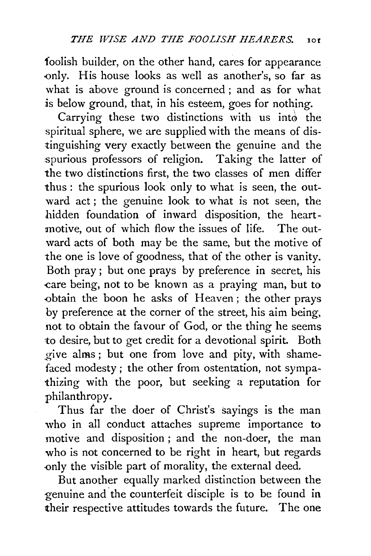foolish builder, on the other hand, cares for appearance -only. His house looks as well as another's, so far as what is above ground is concerned ; and as for what is below ground, that, in his esteem, goes for nothing.

Carrying these two distinctions with us into the spiritual sphere, we are supplied with the means of distinguishing very exactly between the genuine and the spurious professors of religion. Taking the latter of the two distinctions first, the two classes of men differ thus : the spurious look only to what is seen, the outward act; the genuine look to what is not seen, the hidden foundation of inward disposition, the heartmotive, out of which flow the issues of life. The outward acts of both may be the same, but the motive of the one is love of goodness, that of the other is vanity. Both pray ; but one prays by preference in secret, his care being, not to be known as a praying man, but to -obtain the boon he asks of Heaven; the other prays by preference at the corner of the street, his aim being, not to obtain the favour of God, or the thing he seems to desire, but to get credit for a devotional spirit. Both \_give alms ; but one from love and pity, with shamefaced modesty ; the other from ostentation, not sympathizing with the poor, but seeking a reputation for philanthropy.

Thus far the doer of Christ's sayings is the man who in all conduct attaches supreme importance to motive and disposition ; and the non-doer, the man who is not concerned to be right in heart, but regards -only the visible part of morality, the external deed.

But another equally marked distinction between the genuine and the counterfeit disciple is to be found in their respective attitudes towards the future. The one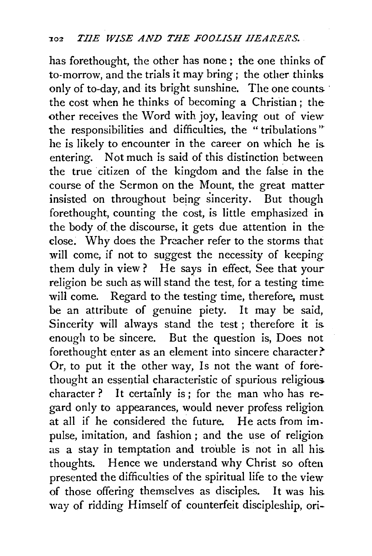has forethought, the other has none ; the one thinks of to-morrow, and the trials it may bring ; the other thinks only of to-day, and its bright sunshine. The one counts the cost when he thinks of becoming a Christian; the other receives the Word with joy, leaving out of view the responsibilities and difficulties, the "tribulations" he is likely to encounter in the career on which he is entering. Not much is said of this distinction between the true citizen of the kingdom and the false in the course of the Sermon on the Mount, the great matter insisted on throughout being sincerity. But though forethought, counting the cost, is little emphasized in the body of the discourse, it gets due attention in the close. Why does the Preacher refer to the storms that will come, if not to suggest the necessity of keeping them duly in view ? He says in effect, See that your religion be such as will stand the test, for a testing time will come. Regard to the testing time, therefore, must be an attribute of genuine piety. It may be said, Sincerity will always stand the test ; therefore it is enough to be sincere. But the question is, Does not forethought enter as an element into sincere character? Or, to put it the other way, Is not the want of forethought an essential characteristic of spurious religious character? It certainly is; for the man who has regard only to appearances, would never profess religion at all if he considered the future. He acts from impulse, imitation, and fashion ; and the use of religion as a stay in temptation and trouble is not in all his. thoughts. Hence we understand why Christ so often presented the difficulties of the spiritual life to the view of those offering themselves as disciples. It was his way of ridding Himself of counterfeit discipleship, ori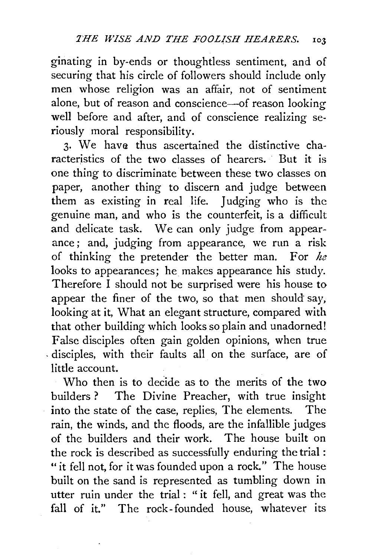ginating in by-ends or thoughtless sentiment, and of securing that his circle of followers should include only men whose religion was an affair, not of sentiment alone, but of reason and conscience-of reason looking well before and after, and of conscience realizing seriously moral responsibility.

3. We have thus ascertained the distinctive characteristics of the two classes of hearers. But it is one thing to discriminate between these two classes on paper, another thing to discern and judge between them as existing in real life. Judging who is the genuine man, and who is the counterfeit, is a difficult and delicate task. We can only judge from appearance; and, judging from appearance, we run a risk of thinking the pretender the better man. For *he*  looks to appearances; he makes appearance his study. Therefore I should not be surprised were his house to appear the finer of the two, so that men should say, looking at it, What an elegant structure, compared with that other building which looks so plain and unadorned! False disciples often gain golden opinions, when true , disciples, with their faults all on the surface, are of little account.

Who then is to decide as to the merits of the two builders? The Divine Preacher, with true insight into the state of the case, replies, The elements. The rain, the winds, and the floods, are the infallible judges of the builders and their work. The house built on the rock is described as successfully enduring the trial : "it fell not, for it was founded upon a rock." The house built on the sand is represented as tumbling down in utter ruin under the trial : " it fell, and great was the fall of it." The rock-founded house, whatever its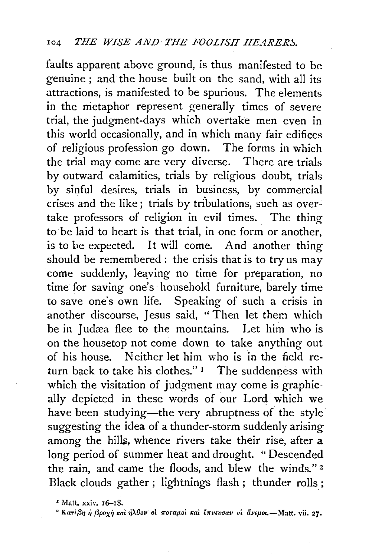faults apparent above ground, is thus manifested to be genuine ; and the house built on the sand, with all its attractions, is manifested to be spurious. The elements in the metaphor represent generally times of severe trial, the judgment-days which overtake men even in this world occasionally, and in which many fair edifices of religious profession go dowh. The forms in which the trial may come are very diverse. There are trials by outward calamities, trials by religious doubt, trials by sinful desires, trials in business, by commercial crises and the like; trials by tribulations, such as overtake professors of religion in evil times. The thing to be laid to heart is that trial, in one form or another, is to be expected. It will come. And another thing should be remembered: the crisis that is to try us may come suddenly, leaying no time for preparation, no time for saving one's ·household furniture, barely time to save one's own life. Speaking of such a crisis in another discourse, Jesus said, "Then let them which be in Judæa flee to the mountains. Let him who is on the housetop not come down to take anything out of his house. Neither let him who is in the field return back to take his clothes." $I$  The suddenness with which the visitation of judgment may come is graphically depicted in these words of our Lord which we have been studying-the very abruptness of the style suggesting the idea of a thunder-storm suddenly arising among the hills, whence rivers take their rise, after a long period of summer heat and drought. "Descended the rain, and came the floods, and blew the winds." *z*  Black clouds gather ; lightnings flash ; thunder rolls;

<sup>&</sup>lt;sup>2</sup> Matt. xxiv. 16–18.<br><sup>2</sup> Kariβη ή βροχή καὶ ήλβον οι ποταμοί καὶ ἔπνευσαν οι ἄνεμοι.--Matt. vii. 27.